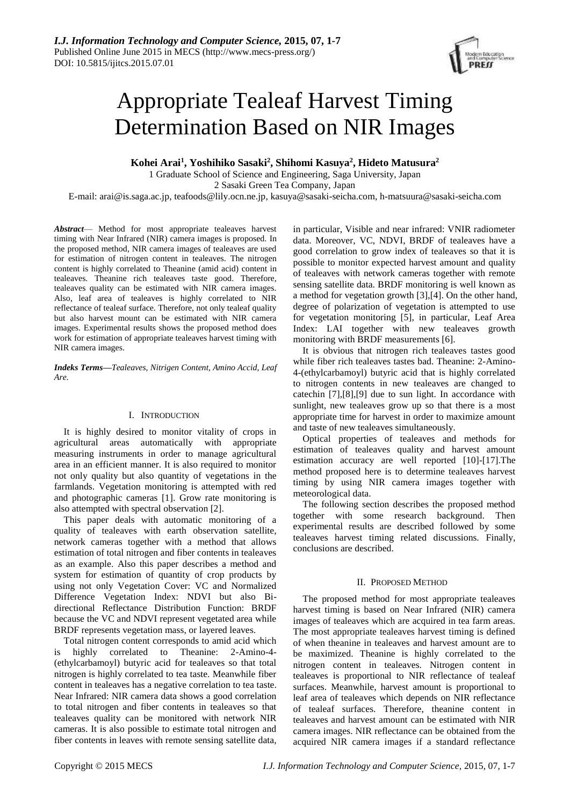

# Appropriate Tealeaf Harvest Timing Determination Based on NIR Images

**Kohei Arai<sup>1</sup> , Yoshihiko Sasaki<sup>2</sup> , Shihomi Kasuya<sup>2</sup> , Hideto Matusura<sup>2</sup>**

1 Graduate School of Science and Engineering, Saga University, Japan 2 Sasaki Green Tea Company, Japan E-mail: arai@is.saga.ac.jp, teafoods@lily.ocn.ne.jp, kasuya@sasaki-seicha.com, h-matsuura@sasaki-seicha.com

*Abstract*— Method for most appropriate tealeaves harvest timing with Near Infrared (NIR) camera images is proposed. In the proposed method, NIR camera images of tealeaves are used for estimation of nitrogen content in tealeaves. The nitrogen content is highly correlated to Theanine (amid acid) content in tealeaves. Theanine rich tealeaves taste good. Therefore, tealeaves quality can be estimated with NIR camera images. Also, leaf area of tealeaves is highly correlated to NIR reflectance of tealeaf surface. Therefore, not only tealeaf quality but also harvest mount can be estimated with NIR camera images. Experimental results shows the proposed method does work for estimation of appropriate tealeaves harvest timing with NIR camera images.

*Indeks Terms—Tealeaves, Nitrigen Content, Amino Accid, Leaf Are.*

# I. INTRODUCTION

It is highly desired to monitor vitality of crops in agricultural areas automatically with appropriate measuring instruments in order to manage agricultural area in an efficient manner. It is also required to monitor not only quality but also quantity of vegetations in the farmlands. Vegetation monitoring is attempted with red and photographic cameras [1]. Grow rate monitoring is also attempted with spectral observation [2].

This paper deals with automatic monitoring of a quality of tealeaves with earth observation satellite, network cameras together with a method that allows estimation of total nitrogen and fiber contents in tealeaves as an example. Also this paper describes a method and system for estimation of quantity of crop products by using not only Vegetation Cover: VC and Normalized Difference Vegetation Index: NDVI but also Bidirectional Reflectance Distribution Function: BRDF because the VC and NDVI represent vegetated area while BRDF represents vegetation mass, or layered leaves.

Total nitrogen content corresponds to amid acid which is highly correlated to Theanine: 2-Amino-4- (ethylcarbamoyl) butyric acid for tealeaves so that total nitrogen is highly correlated to tea taste. Meanwhile fiber content in tealeaves has a negative correlation to tea taste. Near Infrared: NIR camera data shows a good correlation to total nitrogen and fiber contents in tealeaves so that tealeaves quality can be monitored with network NIR cameras. It is also possible to estimate total nitrogen and fiber contents in leaves with remote sensing satellite data,

in particular, Visible and near infrared: VNIR radiometer data. Moreover, VC, NDVI, BRDF of tealeaves have a good correlation to grow index of tealeaves so that it is possible to monitor expected harvest amount and quality of tealeaves with network cameras together with remote sensing satellite data. BRDF monitoring is well known as a method for vegetation growth [3],[4]. On the other hand, degree of polarization of vegetation is attempted to use for vegetation monitoring [5], in particular, Leaf Area Index: LAI together with new tealeaves growth monitoring with BRDF measurements [6].

It is obvious that nitrogen rich tealeaves tastes good while fiber rich tealeaves tastes bad. Theanine: 2-Amino-4-(ethylcarbamoyl) butyric acid that is highly correlated to nitrogen contents in new tealeaves are changed to catechin [7],[8],[9] due to sun light. In accordance with sunlight, new tealeaves grow up so that there is a most appropriate time for harvest in order to maximize amount and taste of new tealeaves simultaneously.

Optical properties of tealeaves and methods for estimation of tealeaves quality and harvest amount estimation accuracy are well reported [10]-[17].The method proposed here is to determine tealeaves harvest timing by using NIR camera images together with meteorological data.

The following section describes the proposed method together with some research background. Then experimental results are described followed by some tealeaves harvest timing related discussions. Finally, conclusions are described.

# II. PROPOSED METHOD

The proposed method for most appropriate tealeaves harvest timing is based on Near Infrared (NIR) camera images of tealeaves which are acquired in tea farm areas. The most appropriate tealeaves harvest timing is defined of when theanine in tealeaves and harvest amount are to be maximized. Theanine is highly correlated to the nitrogen content in tealeaves. Nitrogen content in tealeaves is proportional to NIR reflectance of tealeaf surfaces. Meanwhile, harvest amount is proportional to leaf area of tealeaves which depends on NIR reflectance of tealeaf surfaces. Therefore, theanine content in tealeaves and harvest amount can be estimated with NIR camera images. NIR reflectance can be obtained from the acquired NIR camera images if a standard reflectance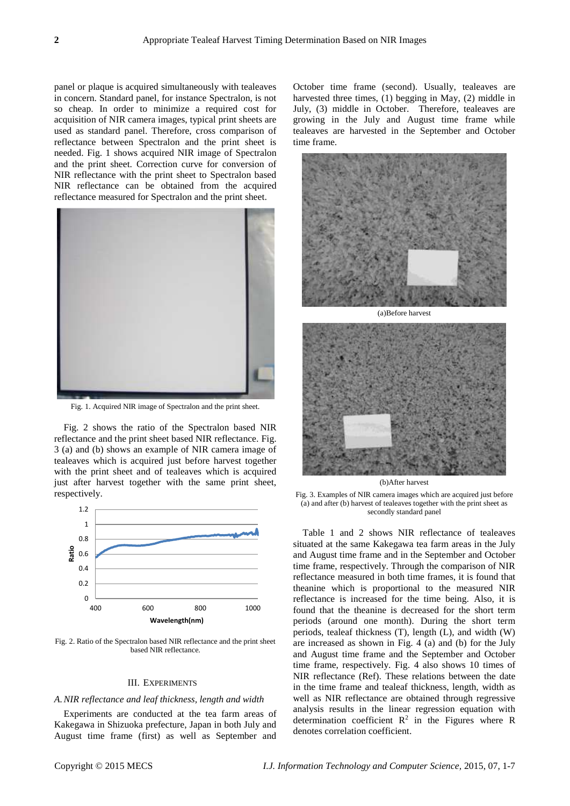panel or plaque is acquired simultaneously with tealeaves in concern. Standard panel, for instance Spectralon, is not so cheap. In order to minimize a required cost for acquisition of NIR camera images, typical print sheets are used as standard panel. Therefore, cross comparison of reflectance between Spectralon and the print sheet is needed. Fig. 1 shows acquired NIR image of Spectralon and the print sheet. Correction curve for conversion of NIR reflectance with the print sheet to Spectralon based NIR reflectance can be obtained from the acquired reflectance measured for Spectralon and the print sheet.



Fig. 1. Acquired NIR image of Spectralon and the print sheet.

Fig. 2 shows the ratio of the Spectralon based NIR reflectance and the print sheet based NIR reflectance. Fig. 3 (a) and (b) shows an example of NIR camera image of tealeaves which is acquired just before harvest together with the print sheet and of tealeaves which is acquired just after harvest together with the same print sheet, respectively.



Fig. 2. Ratio of the Spectralon based NIR reflectance and the print sheet based NIR reflectance.

### III. EXPERIMENTS

#### *A.NIR reflectance and leaf thickness, length and width*

Experiments are conducted at the tea farm areas of Kakegawa in Shizuoka prefecture, Japan in both July and August time frame (first) as well as September and October time frame (second). Usually, tealeaves are harvested three times, (1) begging in May, (2) middle in July, (3) middle in October. Therefore, tealeaves are growing in the July and August time frame while tealeaves are harvested in the September and October time frame.





(b)After harvest

Fig. 3. Examples of NIR camera images which are acquired just before (a) and after (b) harvest of tealeaves together with the print sheet as secondly standard panel

Table 1 and 2 shows NIR reflectance of tealeaves situated at the same Kakegawa tea farm areas in the July and August time frame and in the September and October time frame, respectively. Through the comparison of NIR reflectance measured in both time frames, it is found that theanine which is proportional to the measured NIR reflectance is increased for the time being. Also, it is found that the theanine is decreased for the short term periods (around one month). During the short term periods, tealeaf thickness (T), length (L), and width (W) are increased as shown in Fig. 4 (a) and (b) for the July and August time frame and the September and October time frame, respectively. Fig. 4 also shows 10 times of NIR reflectance (Ref). These relations between the date in the time frame and tealeaf thickness, length, width as well as NIR reflectance are obtained through regressive analysis results in the linear regression equation with determination coefficient  $R^2$  in the Figures where R denotes correlation coefficient.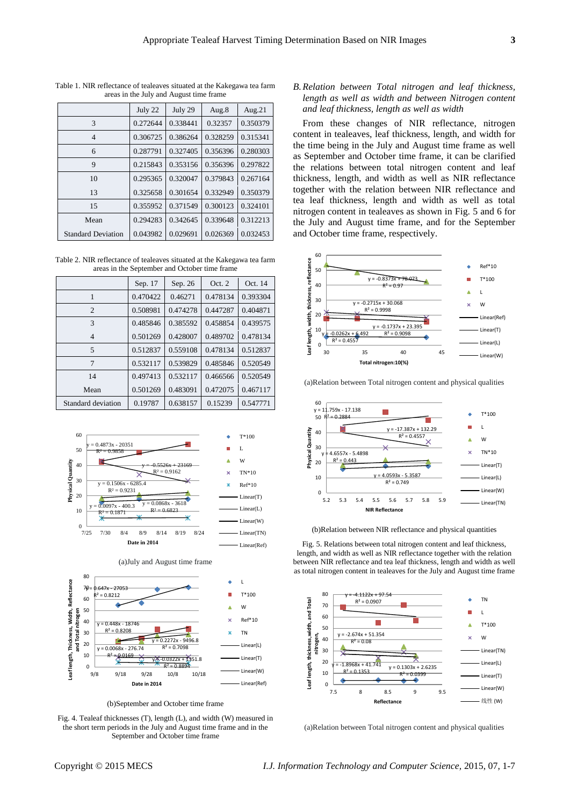|                           | July 22  | July 29  | Aug.8    | Aug. $21$ |
|---------------------------|----------|----------|----------|-----------|
| 3                         | 0.272644 | 0.338441 | 0.32357  | 0.350379  |
| $\overline{4}$            | 0.306725 | 0.386264 | 0.328259 | 0.315341  |
| 6                         | 0.287791 | 0.327405 | 0.356396 | 0.280303  |
| 9                         | 0.215843 | 0.353156 | 0.356396 | 0.297822  |
| 10                        | 0.295365 | 0.320047 | 0.379843 | 0.267164  |
| 13                        | 0.325658 | 0.301654 | 0.332949 | 0.350379  |
| 15                        | 0.355952 | 0.371549 | 0.300123 | 0.324101  |
| Mean                      | 0.294283 | 0.342645 | 0.339648 | 0.312213  |
| <b>Standard Deviation</b> | 0.043982 | 0.029691 | 0.026369 | 0.032453  |

Table 1. NIR reflectance of tealeaves situated at the Kakegawa tea farm areas in the July and August time frame

Table 2. NIR reflectance of tealeaves situated at the Kakegawa tea farm areas in the September and October time frame

|                    | Sep. 17  | Sep. 26  | Oct. 2   | Oct. 14  |
|--------------------|----------|----------|----------|----------|
| 1                  | 0.470422 | 0.46271  | 0.478134 | 0.393304 |
| $\overline{c}$     | 0.508981 | 0.474278 | 0.447287 | 0.404871 |
| 3                  | 0.485846 | 0.385592 | 0.458854 | 0.439575 |
| 4                  | 0.501269 | 0.428007 | 0.489702 | 0.478134 |
| 5                  | 0.512837 | 0.559108 | 0.478134 | 0.512837 |
| $\overline{7}$     | 0.532117 | 0.539829 | 0.485846 | 0.520549 |
| 14                 | 0.497413 | 0.532117 | 0.466566 | 0.520549 |
| Mean               | 0.501269 | 0.483091 | 0.472075 | 0.467117 |
| Standard deviation | 0.19787  | 0.638157 | 0.15239  | 0.547771 |



(b)September and October time frame

Fig. 4. Tealeaf thicknesses (T), length (L), and width (W) measured in the short term periods in the July and August time frame and in the September and October time frame

*B.Relation between Total nitrogen and leaf thickness, length as well as width and between Nitrogen content and leaf thickness, length as well as width*

From these changes of NIR reflectance, nitrogen content in tealeaves, leaf thickness, length, and width for the time being in the July and August time frame as well as September and October time frame, it can be clarified the relations between total nitrogen content and leaf thickness, length, and width as well as NIR reflectance together with the relation between NIR reflectance and tea leaf thickness, length and width as well as total nitrogen content in tealeaves as shown in Fig. 5 and 6 for the July and August time frame, and for the September and October time frame, respectively.



(a)Relation between Total nitrogen content and physical qualities



(b)Relation between NIR reflectance and physical quantities

Fig. 5. Relations between total nitrogen content and leaf thickness, length, and width as well as NIR reflectance together with the relation between NIR reflectance and tea leaf thickness, length and width as well as total nitrogen content in tealeaves for the July and August time frame



(a)Relation between Total nitrogen content and physical qualities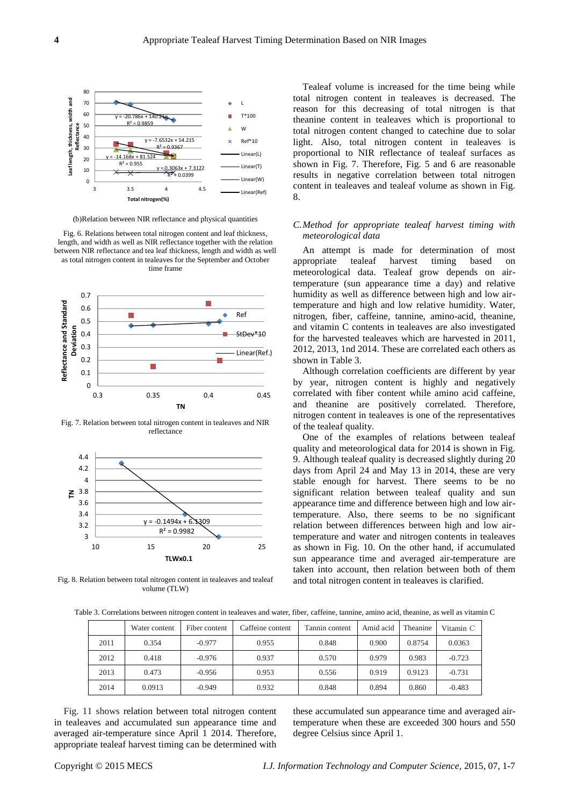

(b)Relation between NIR reflectance and physical quantities

Fig. 6. Relations between total nitrogen content and leaf thickness, length, and width as well as NIR reflectance together with the relation between NIR reflectance and tea leaf thickness, length and width as well as total nitrogen content in tealeaves for the September and October time frame



Fig. 7. Relation between total nitrogen content in tealeaves and NIR reflectance



Fig. 8. Relation between total nitrogen content in tealeaves and tealeaf volume (TLW)

Tealeaf volume is increased for the time being while total nitrogen content in tealeaves is decreased. The reason for this decreasing of total nitrogen is that theanine content in tealeaves which is proportional to total nitrogen content changed to catechine due to solar light. Also, total nitrogen content in tealeaves is proportional to NIR reflectance of tealeaf surfaces as shown in Fig. 7. Therefore, Fig. 5 and 6 are reasonable results in negative correlation between total nitrogen content in tealeaves and tealeaf volume as shown in Fig. 8.

# *C.Method for appropriate tealeaf harvest timing with meteorological data*

An attempt is made for determination of most appropriate tealeaf harvest timing based on meteorological data. Tealeaf grow depends on airtemperature (sun appearance time a day) and relative humidity as well as difference between high and low airtemperature and high and low relative humidity. Water, nitrogen, fiber, caffeine, tannine, amino-acid, theanine, and vitamin C contents in tealeaves are also investigated for the harvested tealeaves which are harvested in 2011, 2012, 2013, 1nd 2014. These are correlated each others as shown in Table 3.

Although correlation coefficients are different by year by year, nitrogen content is highly and negatively correlated with fiber content while amino acid caffeine, and theanine are positively correlated. Therefore, nitrogen content in tealeaves is one of the representatives of the tealeaf quality.

One of the examples of relations between tealeaf quality and meteorological data for 2014 is shown in Fig. 9. Although tealeaf quality is decreased slightly during 20 days from April 24 and May 13 in 2014, these are very stable enough for harvest. There seems to be no significant relation between tealeaf quality and sun appearance time and difference between high and low airtemperature. Also, there seems to be no significant relation between differences between high and low airtemperature and water and nitrogen contents in tealeaves as shown in Fig. 10. On the other hand, if accumulated sun appearance time and averaged air-temperature are taken into account, then relation between both of them and total nitrogen content in tealeaves is clarified.

Table 3. Correlations between nitrogen content in tealeaves and water, fiber, caffeine, tannine, amino acid, theanine, as well as vitamin C

|      | Water content | Fiber content | Caffeine content | Tannin content | Amid acid | Theanine | Vitamin C |
|------|---------------|---------------|------------------|----------------|-----------|----------|-----------|
| 2011 | 0.354         | $-0.977$      | 0.955            | 0.848          | 0.900     | 0.8754   | 0.0363    |
| 2012 | 0.418         | $-0.976$      | 0.937            | 0.570          | 0.979     | 0.983    | $-0.723$  |
| 2013 | 0.473         | $-0.956$      | 0.953            | 0.556          | 0.919     | 0.9123   | $-0.731$  |
| 2014 | 0.0913        | $-0.949$      | 0.932            | 0.848          | 0.894     | 0.860    | $-0.483$  |

Fig. 11 shows relation between total nitrogen content in tealeaves and accumulated sun appearance time and averaged air-temperature since April 1 2014. Therefore, appropriate tealeaf harvest timing can be determined with these accumulated sun appearance time and averaged airtemperature when these are exceeded 300 hours and 550 degree Celsius since April 1.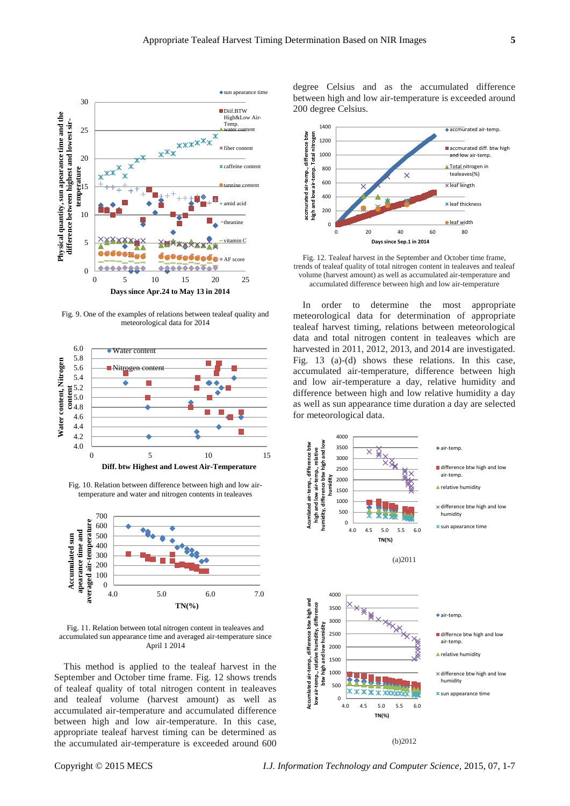

Fig. 9. One of the examples of relations between tealeaf quality and meteorological data for 2014



Fig. 10. Relation between difference between high and low airtemperature and water and nitrogen contents in tealeaves



Fig. 11. Relation between total nitrogen content in tealeaves and accumulated sun appearance time and averaged air-temperature since April 1 2014

This method is applied to the tealeaf harvest in the September and October time frame. Fig. 12 shows trends of tealeaf quality of total nitrogen content in tealeaves and tealeaf volume (harvest amount) as well as accumulated air-temperature and accumulated difference between high and low air-temperature. In this case, appropriate tealeaf harvest timing can be determined as the accumulated air-temperature is exceeded around 600 degree Celsius and as the accumulated difference between high and low air-temperature is exceeded around 200 degree Celsius.



Fig. 12. Tealeaf harvest in the September and October time frame, trends of tealeaf quality of total nitrogen content in tealeaves and tealeaf volume (harvest amount) as well as accumulated air-temperature and accumulated difference between high and low air-temperature

In order to determine the most appropriate meteorological data for determination of appropriate tealeaf harvest timing, relations between meteorological data and total nitrogen content in tealeaves which are harvested in 2011, 2012, 2013, and 2014 are investigated. Fig. 13 (a)-(d) shows these relations. In this case, accumulated air-temperature, difference between high and low air-temperature a day, relative humidity and difference between high and low relative humidity a day as well as sun appearance time duration a day are selected for meteorological data.



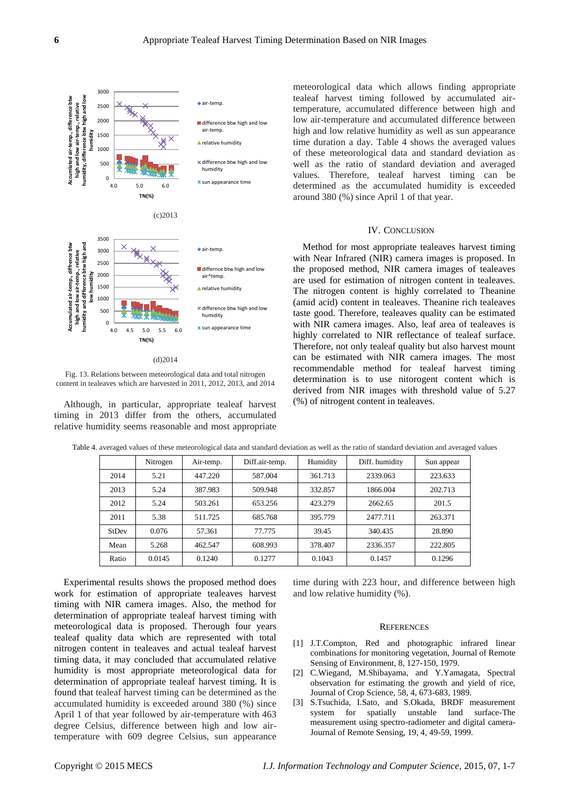

Fig. 13. Relations between meteorological data and total nitrogen content in tealeaves which are harvested in 2011, 2012, 2013, and 2014

Although, in particular, appropriate tealeaf harvest timing in 2013 differ from the others, accumulated relative humidity seems reasonable and most appropriate meteorological data which allows finding appropriate tealeaf harvest timing followed by accumulated airtemperature, accumulated difference between high and low air-temperature and accumulated difference between high and low relative humidity as well as sun appearance time duration a day. Table 4 shows the averaged values of these meteorological data and standard deviation as well as the ratio of standard deviation and averaged values. Therefore, tealeaf harvest timing can be determined as the accumulated humidity is exceeded around 380 (%) since April 1 of that year.

## IV. CONCLUSION

Method for most appropriate tealeaves harvest timing with Near Infrared (NIR) camera images is proposed. In the proposed method, NIR camera images of tealeaves are used for estimation of nitrogen content in tealeaves. The nitrogen content is highly correlated to Theanine (amid acid) content in tealeaves. Theanine rich tealeaves taste good. Therefore, tealeaves quality can be estimated with NIR camera images. Also, leaf area of tealeaves is highly correlated to NIR reflectance of tealeaf surface. Therefore, not only tealeaf quality but also harvest mount can be estimated with NIR camera images. The most recommendable method for tealeaf harvest timing determination is to use nitorogent content which is derived from NIR images with threshold value of 5.27 (%) of nitrogent content in tealeaves.

|       | Nitrogen | Air-temp. | Diff.air-temp. | Humidity | Diff. humidity | Sun appear |
|-------|----------|-----------|----------------|----------|----------------|------------|
| 2014  | 5.21     | 447.220   | 587.004        | 361.713  | 2339.063       | 223.633    |
| 2013  | 5.24     | 387.983   | 509.948        | 332.857  | 1866.004       | 202.713    |
| 2012  | 5.24     | 503.261   | 653.256        | 423.279  | 2662.65        | 201.5      |
| 2011  | 5.38     | 511.725   | 685.768        | 395.779  | 2477.711       | 263.371    |
| StDev | 0.076    | 57.361    | 77.775         | 39.45    | 340.435        | 28.890     |
| Mean  | 5.268    | 462.547   | 608.993        | 378.407  | 2336.357       | 222.805    |
| Ratio | 0.0145   | 0.1240    | 0.1277         | 0.1043   | 0.1457         | 0.1296     |

Table 4. averaged values of these meteorological data and standard deviation as well as the ratio of standard deviation and averaged values

Experimental results shows the proposed method does work for estimation of appropriate tealeaves harvest timing with NIR camera images. Also, the method for determination of appropriate tealeaf harvest timing with meteorological data is proposed. Therough four years tealeaf quality data which are represented with total nitrogen content in tealeaves and actual tealeaf harvest timing data, it may concluded that accumulated relative humidity is most appropriate meteorological data for determination of appropriate tealeaf harvest timing. It is found that tealeaf harvest timing can be determined as the accumulated humidity is exceeded around 380 (%) since April 1 of that year followed by air-temperature with 463 degree Celsius, difference between high and low airtemperature with 609 degree Celsius, sun appearance

time during with 223 hour, and difference between high and low relative humidity (%).

## **REFERENCES**

- [1] J.T.Compton, Red and photographic infrared linear combinations for monitoring vegetation, Journal of Remote Sensing of Environment, 8, 127-150, 1979.
- [2] C.Wiegand, M.Shibayama, and Y.Yamagata, Spectral observation for estimating the growth and yield of rice, Journal of Crop Science, 58, 4, 673-683, 1989.
- [3] S.Tsuchida, I.Sato, and S.Okada, BRDF measurement system for spatially unstable land surface-The measurement using spectro-radiometer and digital camera-Journal of Remote Sensing, 19, 4, 49-59, 1999.